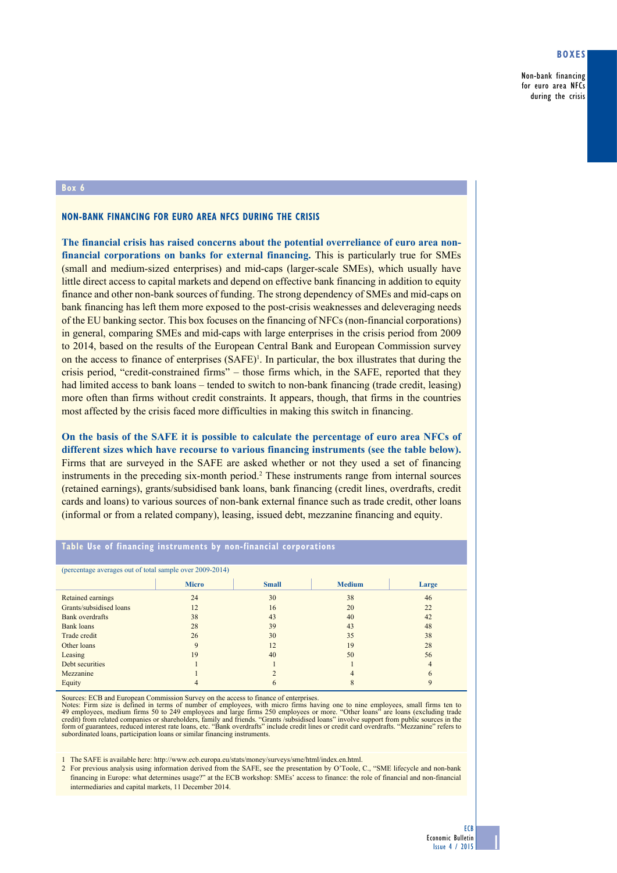## **Boxes**

Non-bank financing for euro area NFCs during the crisis

## **Box 6**

#### **Non-bank financing for euro area NFCs during the crisis**

**The financial crisis has raised concerns about the potential overreliance of euro area nonfinancial corporations on banks for external financing.** This is particularly true for SMEs (small and medium-sized enterprises) and mid-caps (larger-scale SMEs), which usually have little direct access to capital markets and depend on effective bank financing in addition to equity finance and other non-bank sources of funding. The strong dependency of SMEs and mid-caps on bank financing has left them more exposed to the post-crisis weaknesses and deleveraging needs of the EU banking sector. This box focuses on the financing of NFCs (non-financial corporations) in general, comparing SMEs and mid-caps with large enterprises in the crisis period from 2009 to 2014, based on the results of the European Central Bank and European Commission survey on the access to finance of enterprises  $(SAFE)^T$ . In particular, the box illustrates that during the crisis period, "credit-constrained firms" – those firms which, in the SAFE, reported that they had limited access to bank loans – tended to switch to non-bank financing (trade credit, leasing) more often than firms without credit constraints. It appears, though, that firms in the countries most affected by the crisis faced more difficulties in making this switch in financing.

**On the basis of the SAFE it is possible to calculate the percentage of euro area NFCs of different sizes which have recourse to various financing instruments (see the table below).** Firms that are surveyed in the SAFE are asked whether or not they used a set of financing instruments in the preceding six-month period.<sup>2</sup> These instruments range from internal sources (retained earnings), grants/subsidised bank loans, bank financing (credit lines, overdrafts, credit cards and loans) to various sources of non-bank external finance such as trade credit, other loans (informal or from a related company), leasing, issued debt, mezzanine financing and equity.

#### **table use of financing instruments by non-financial corporations**

| (percentage averages out of total sample over 2009-2014) |              |              |               |       |
|----------------------------------------------------------|--------------|--------------|---------------|-------|
|                                                          | <b>Micro</b> | <b>Small</b> | <b>Medium</b> | Large |
| Retained earnings                                        | 24           | 30           | 38            | 46    |
| Grants/subsidised loans                                  | 12           | 16           | 20            | 22    |
| Bank overdrafts                                          | 38           | 43           | 40            | 42    |
| Bank loans                                               | 28           | 39           | 43            | 48    |
| Trade credit                                             | 26           | 30           | 35            | 38    |
| Other loans                                              | q            | 12           | 19            | 28    |
| Leasing                                                  | 19           | 40           | 50            | 56    |
| Debt securities                                          |              |              |               | 4     |
| Mezzanine                                                |              |              | 4             | h     |
| Equity                                                   |              | n            | ◠             |       |

Sources: ECB and European Commission Survey on the access to finance of enterprises.

Notes: Firm size is defined in terms of number of employees, with micro firms having one to nine employees, small firms ten to 49 employees, medium firms 50 to 249 employees and large firms 250 employees or more. "Other lo

1 The SAFE is available here: <http://www.ecb.europa.eu/stats/money/surveys/sme/html/index.en.html>.

2 For previous analysis using information derived from the SAFE, see the presentation by O'Toole, C., "SME lifecycle and non-bank financing in Europe: what determines usage?" at the ECB workshop: SMEs' access to finance: the role of financial and non-financial intermediaries and capital markets, 11 December 2014.

1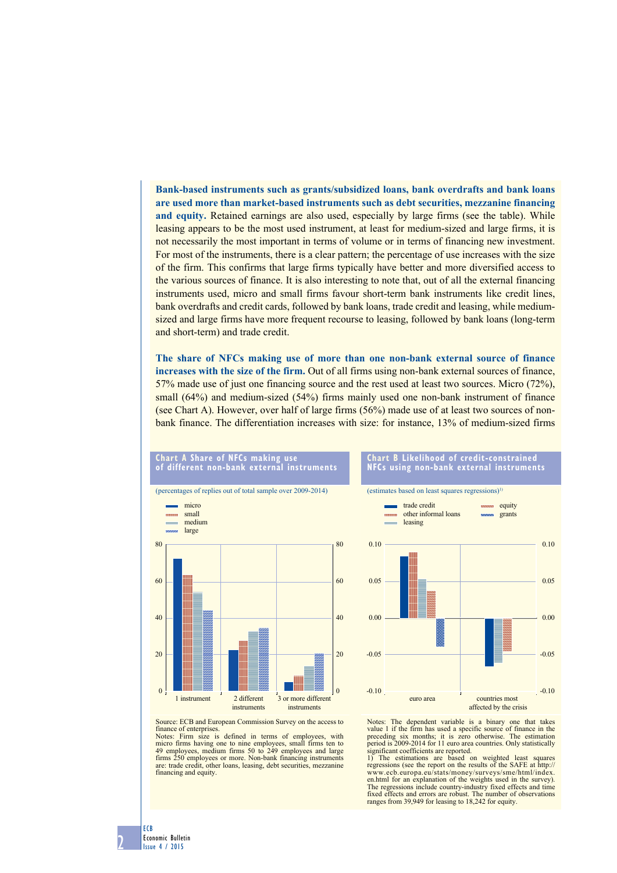**Bank-based instruments such as grants/subsidized loans, bank overdrafts and bank loans are used more than market-based instruments such as debt securities, mezzanine financing and equity.** Retained earnings are also used, especially by large firms (see the table). While leasing appears to be the most used instrument, at least for medium-sized and large firms, it is not necessarily the most important in terms of volume or in terms of financing new investment. For most of the instruments, there is a clear pattern; the percentage of use increases with the size of the firm. This confirms that large firms typically have better and more diversified access to the various sources of finance. It is also interesting to note that, out of all the external financing instruments used, micro and small firms favour short-term bank instruments like credit lines, bank overdrafts and credit cards, followed by bank loans, trade credit and leasing, while mediumsized and large firms have more frequent recourse to leasing, followed by bank loans (long-term and short-term) and trade credit.

**The share of NFCs making use of more than one non-bank external source of finance increases with the size of the firm.** Out of all firms using non-bank external sources of finance, 57% made use of just one financing source and the rest used at least two sources. Micro (72%), small (64%) and medium-sized (54%) firms mainly used one non-bank instrument of finance (see Chart A). However, over half of large firms (56%) made use of at least two sources of nonbank finance. The differentiation increases with size: for instance, 13% of medium-sized firms

### **chart a share of Nfcs making use of different non-bank external instruments**





# **chart B Likelihood of credit-constrained Nfcs using non-bank external instruments**

equity

(estimates based on least squares regressions) $<sup>1</sup>$ </sup>

trade credit



Source: ECB and European Commission Survey on the access to finance of enterprises. Notes: Firm size is defined in terms of employees, with

micro firms having one to nine employees, small firms ten to 49 employees, medium firms 50 to 249 employees and large firms 250 employees or more. Non-bank financing instruments are: trade credit, other loans, leasing, debt securities, mezzanine financing and equity.

Notes: The dependent variable is a binary one that takes value 1 if the firm has used a specific source of finance in the preceding six months; it is zero otherwise. The estimation period is 2009-2014 for 11 euro area countries. Only statistically significant coefficients are reported.<br>1) The estimations are based

The estimations are based on weighted least squares regressions (see the report on the results of the SAFE at http:// www.ecb.europa.eu/stats/money/surveys/sme/html/index. en.html for an explanation of the weights used in the survey). The regressions include country-industry fixed effects and time fixed effects and errors are robust. The number of observations ranges from 39,949 for leasing to 18,242 for equity.

2